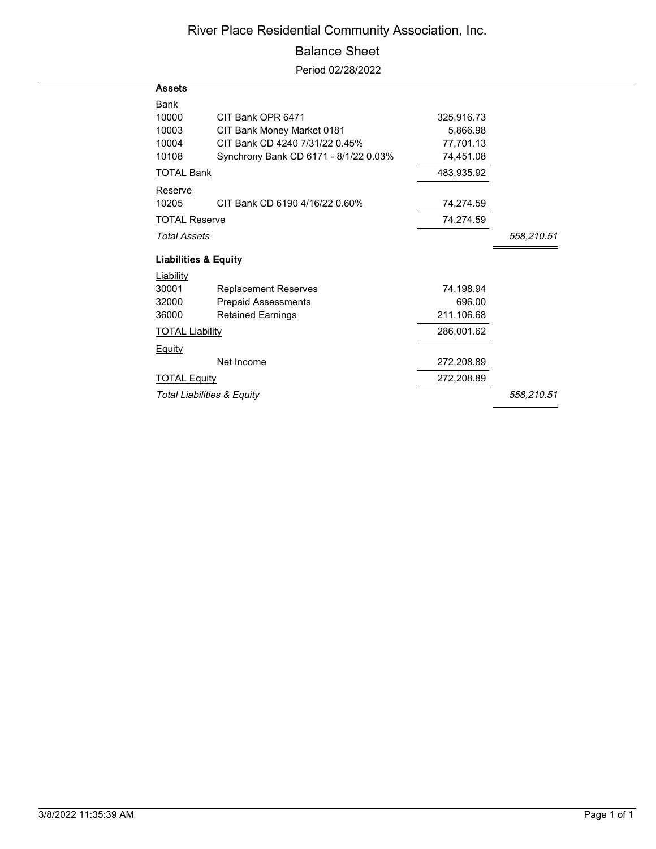## River Place Residential Community Association, Inc.

## Balance Sheet

Period 02/28/2022

| <b>Assets</b>                   |                                       |            |            |
|---------------------------------|---------------------------------------|------------|------------|
| Bank                            |                                       |            |            |
| 10000                           | CIT Bank OPR 6471                     | 325,916.73 |            |
| 10003                           | CIT Bank Money Market 0181            | 5,866.98   |            |
| 10004                           | CIT Bank CD 4240 7/31/22 0.45%        | 77,701.13  |            |
| 10108                           | Synchrony Bank CD 6171 - 8/1/22 0.03% | 74,451.08  |            |
| <u>TOTAL Bank</u>               |                                       | 483,935.92 |            |
| Reserve                         |                                       |            |            |
| 10205                           | CIT Bank CD 6190 4/16/22 0.60%        | 74,274.59  |            |
| <b>TOTAL Reserve</b>            |                                       | 74,274.59  |            |
| <b>Total Assets</b>             |                                       |            | 558,210.51 |
| <b>Liabilities &amp; Equity</b> |                                       |            |            |
| <b>Liability</b>                |                                       |            |            |
| 30001                           | <b>Replacement Reserves</b>           | 74.198.94  |            |
| 32000                           | <b>Prepaid Assessments</b>            | 696.00     |            |
| 36000                           | <b>Retained Earnings</b>              | 211,106.68 |            |
| <b>TOTAL Liability</b>          |                                       | 286,001.62 |            |
| <u>Equity</u>                   |                                       |            |            |
|                                 | Net Income                            | 272,208.89 |            |
| <b>TOTAL Equity</b>             |                                       | 272,208.89 |            |
| Total Liabilities & Equity      |                                       |            | 558,210.51 |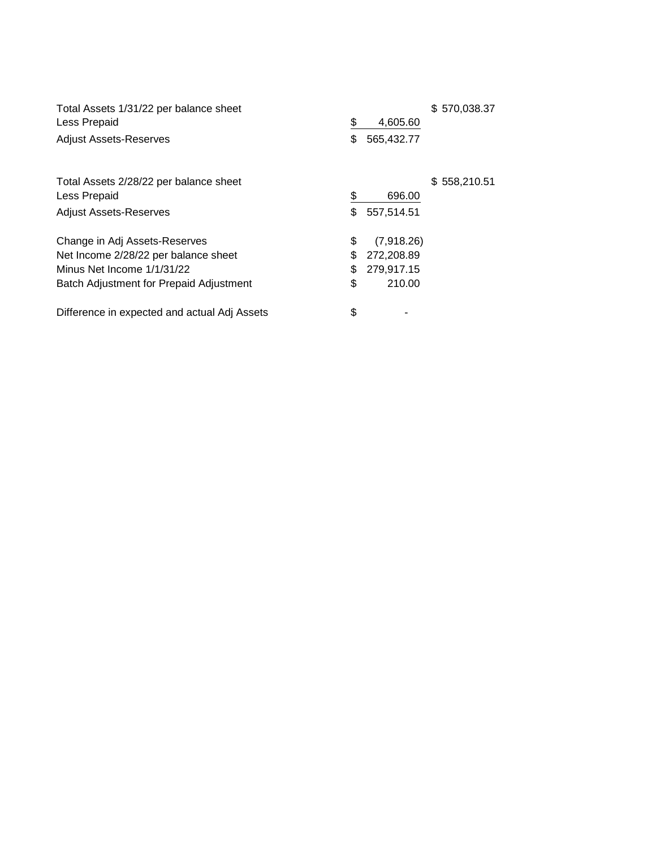| Total Assets 1/31/22 per balance sheet<br>Less Prepaid | \$<br>4,605.60   | \$570,038.37 |
|--------------------------------------------------------|------------------|--------------|
| <b>Adjust Assets-Reserves</b>                          | \$<br>565,432.77 |              |
| Total Assets 2/28/22 per balance sheet                 |                  | \$558,210.51 |
| Less Prepaid                                           | \$<br>696.00     |              |
| <b>Adjust Assets-Reserves</b>                          | \$<br>557,514.51 |              |
| Change in Adj Assets-Reserves                          | \$<br>(7,918.26) |              |
| Net Income 2/28/22 per balance sheet                   | \$<br>272,208.89 |              |
| Minus Net Income 1/1/31/22                             | \$<br>279,917.15 |              |
| Batch Adjustment for Prepaid Adjustment                | \$<br>210.00     |              |
| Difference in expected and actual Adj Assets           | \$               |              |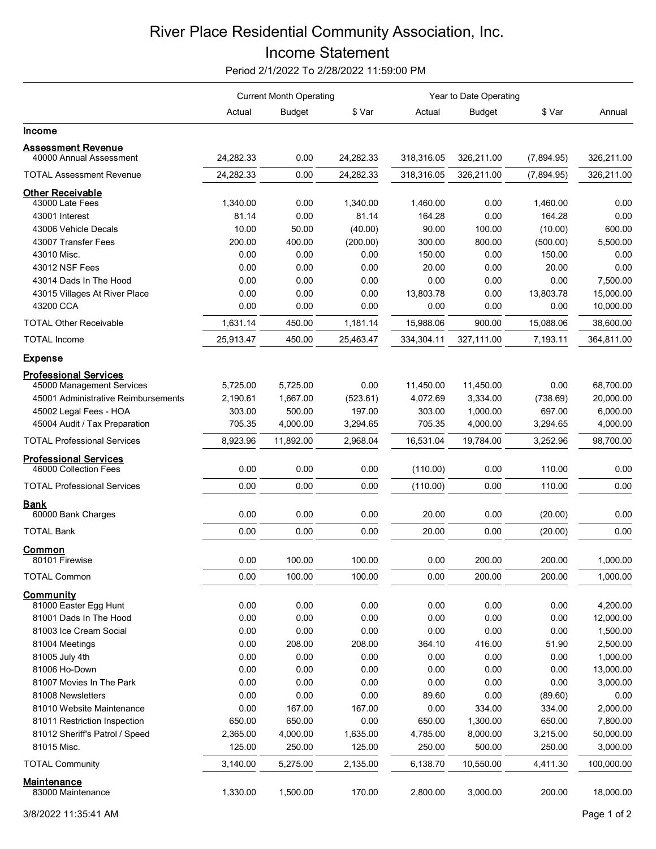## River Place Residential Community Association, Inc. Income Statement

Period 2/1/2022 To 2/28/2022 11:59:00 PM

|                                                       | <b>Current Month Operating</b> |               |           |            | Year to Date Operating |            |            |
|-------------------------------------------------------|--------------------------------|---------------|-----------|------------|------------------------|------------|------------|
|                                                       | Actual                         | <b>Budget</b> | \$ Var    | Actual     | <b>Budget</b>          | \$ Var     | Annual     |
| Income                                                |                                |               |           |            |                        |            |            |
| <b>Assessment Revenue</b>                             |                                |               |           |            |                        |            |            |
| 40000 Annual Assessment                               | 24,282.33                      | 0.00          | 24,282.33 | 318,316.05 | 326,211.00             | (7,894.95) | 326,211.00 |
| <b>TOTAL Assessment Revenue</b>                       | 24,282.33                      | 0.00          | 24,282.33 | 318,316.05 | 326,211.00             | (7,894.95) | 326,211.00 |
| <b>Other Receivable</b><br>43000 Late Fees            | 1,340.00                       | 0.00          | 1,340.00  | 1,460.00   | 0.00                   | 1,460.00   | 0.00       |
| 43001 Interest                                        | 81.14                          | 0.00          | 81.14     | 164.28     | 0.00                   | 164.28     | 0.00       |
| 43006 Vehicle Decals                                  | 10.00                          | 50.00         | (40.00)   | 90.00      | 100.00                 | (10.00)    | 600.00     |
| 43007 Transfer Fees                                   | 200.00                         | 400.00        | (200.00)  | 300.00     | 800.00                 | (500.00)   | 5,500.00   |
| 43010 Misc.                                           | 0.00                           | 0.00          | 0.00      | 150.00     | 0.00                   | 150.00     | 0.00       |
| 43012 NSF Fees                                        | 0.00                           | 0.00          | 0.00      | 20.00      | 0.00                   | 20.00      | 0.00       |
| 43014 Dads In The Hood                                | 0.00                           | 0.00          | 0.00      | 0.00       | 0.00                   | 0.00       | 7,500.00   |
| 43015 Villages At River Place                         | 0.00                           | 0.00          | 0.00      | 13,803.78  | 0.00                   | 13,803.78  | 15,000.00  |
| 43200 CCA                                             | 0.00                           | 0.00          | 0.00      | 0.00       | 0.00                   | 0.00       | 10,000.00  |
| <b>TOTAL Other Receivable</b>                         | 1,631.14                       | 450.00        | 1,181.14  | 15,988.06  | 900.00                 | 15,088.06  | 38,600.00  |
| <b>TOTAL Income</b>                                   | 25,913.47                      | 450.00        | 25,463.47 | 334,304.11 | 327,111.00             | 7,193.11   | 364,811.00 |
| <b>Expense</b>                                        |                                |               |           |            |                        |            |            |
| <b>Professional Services</b>                          |                                |               |           |            |                        |            |            |
| 45000 Management Services                             | 5,725.00                       | 5,725.00      | 0.00      | 11,450.00  | 11,450.00              | 0.00       | 68,700.00  |
| 45001 Administrative Reimbursements                   | 2,190.61                       | 1,667.00      | (523.61)  | 4,072.69   | 3,334.00               | (738.69)   | 20,000.00  |
| 45002 Legal Fees - HOA                                | 303.00                         | 500.00        | 197.00    | 303.00     | 1,000.00               | 697.00     | 6,000.00   |
| 45004 Audit / Tax Preparation                         | 705.35                         | 4,000.00      | 3,294.65  | 705.35     | 4,000.00               | 3,294.65   | 4,000.00   |
| <b>TOTAL Professional Services</b>                    | 8,923.96                       | 11,892.00     | 2,968.04  | 16,531.04  | 19,784.00              | 3,252.96   | 98,700.00  |
| <b>Professional Services</b><br>46000 Collection Fees | 0.00                           | 0.00          | 0.00      | (110.00)   | 0.00                   | 110.00     | 0.00       |
| <b>TOTAL Professional Services</b>                    | 0.00                           | 0.00          | 0.00      | (110.00)   | 0.00                   | 110.00     | 0.00       |
| <b>Bank</b>                                           |                                |               |           |            |                        |            |            |
| 60000 Bank Charges                                    | 0.00                           | 0.00          | 0.00      | 20.00      | 0.00                   | (20.00)    | 0.00       |
| <b>TOTAL Bank</b>                                     | 0.00                           | 0.00          | 0.00      | 20.00      | 0.00                   | (20.00)    | 0.00       |
| Common<br>80101 Firewise                              | 0.00                           | 100.00        | 100.00    | 0.00       | 200.00                 | 200.00     | 1,000.00   |
| <b>TOTAL Common</b>                                   | 0.00                           | 100.00        | 100.00    | 0.00       | 200.00                 | 200.00     | 1,000.00   |
| Community                                             |                                |               |           |            |                        |            |            |
| 81000 Easter Egg Hunt                                 | 0.00                           | 0.00          | 0.00      | 0.00       | 0.00                   | 0.00       | 4,200.00   |
| 81001 Dads In The Hood                                | 0.00                           | 0.00          | 0.00      | 0.00       | 0.00                   | 0.00       | 12,000.00  |
| 81003 Ice Cream Social                                | 0.00                           | 0.00          | 0.00      | 0.00       | 0.00                   | 0.00       | 1,500.00   |
| 81004 Meetings                                        | 0.00                           | 208.00        | 208.00    | 364.10     | 416.00                 | 51.90      | 2,500.00   |
| 81005 July 4th                                        | 0.00                           | 0.00          | 0.00      | 0.00       | 0.00                   | 0.00       | 1,000.00   |
| 81006 Ho-Down                                         | 0.00                           | 0.00          | 0.00      | 0.00       | 0.00                   | 0.00       | 13,000.00  |
| 81007 Movies In The Park                              | 0.00                           | 0.00          | 0.00      | 0.00       | 0.00                   | 0.00       | 3,000.00   |
| 81008 Newsletters                                     | 0.00                           | 0.00          | 0.00      | 89.60      | 0.00                   | (89.60)    | 0.00       |
| 81010 Website Maintenance                             | 0.00                           | 167.00        | 167.00    | 0.00       | 334.00                 | 334.00     | 2,000.00   |
| 81011 Restriction Inspection                          | 650.00                         | 650.00        | 0.00      | 650.00     | 1,300.00               | 650.00     | 7,800.00   |
| 81012 Sheriff's Patrol / Speed                        | 2,365.00                       | 4,000.00      | 1,635.00  | 4,785.00   | 8,000.00               | 3,215.00   | 50,000.00  |
| 81015 Misc.                                           | 125.00                         | 250.00        | 125.00    | 250.00     | 500.00                 | 250.00     | 3,000.00   |
| <b>TOTAL Community</b>                                | 3,140.00                       | 5,275.00      | 2,135.00  | 6,138.70   | 10,550.00              | 4,411.30   | 100,000.00 |
| <b>Maintenance</b>                                    |                                |               |           |            |                        |            |            |
| 83000 Maintenance                                     | 1,330.00                       | 1,500.00      | 170.00    | 2,800.00   | 3,000.00               | 200.00     | 18,000.00  |